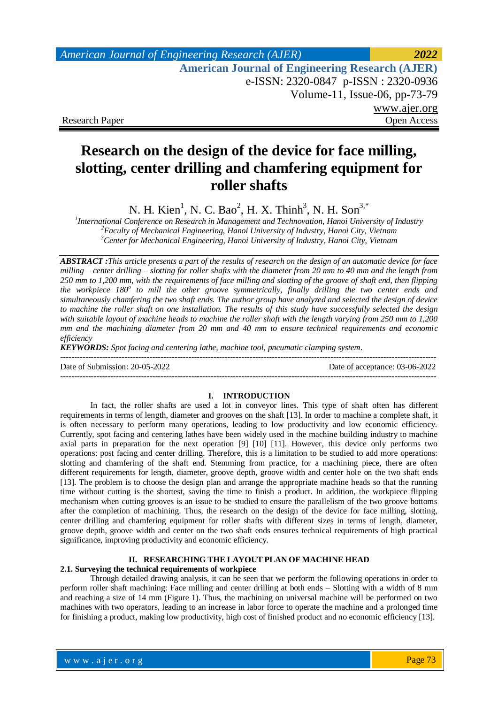## *American Journal of Engineering Research (AJER) 2022*  **American Journal of Engineering Research (AJER)** e-ISSN: 2320-0847 p-ISSN : 2320-0936 Volume-11, Issue-06, pp-73-79 www.ajer.org Research Paper Open Access

## **Research on the design of the device for face milling, slotting, center drilling and chamfering equipment for roller shafts**

N. H. Kien<sup>1</sup>, N. C. Bao<sup>2</sup>, H. X. Thinh<sup>3</sup>, N. H. Son<sup>3,\*</sup>

*1 International Conference on Research in Management and Technovation, Hanoi University of Industry <sup>2</sup>Faculty of Mechanical Engineering, Hanoi University of Industry, Hanoi City, Vietnam <sup>3</sup>Center for Mechanical Engineering, Hanoi University of Industry, Hanoi City, Vietnam*

*ABSTRACT :This article presents a part of the results of research on the design of an automatic device for face milling – center drilling – slotting for roller shafts with the diameter from 20 mm to 40 mm and the length from 250 mm to 1,200 mm, with the requirements of face milling and slotting of the groove of shaft end, then flipping*  the workpiece 180<sup>°</sup> to mill the other groove symmetrically, finally drilling the two center ends and *simultaneously chamfering the two shaft ends. The author group have analyzed and selected the design of device to machine the roller shaft on one installation. The results of this study have successfully selected the design*  with suitable layout of machine heads to machine the roller shaft with the length varying from 250 mm to 1,200 *mm and the machining diameter from 20 mm and 40 mm to ensure technical requirements and economic efficiency*

*KEYWORDS: Spot facing and centering lathe, machine tool, pneumatic clamping system.*

Date of Submission: 20-05-2022 Date of acceptance: 03-06-2022 ---------------------------------------------------------------------------------------------------------------------------------------

#### **I. INTRODUCTION**

In fact, the roller shafts are used a lot in conveyor lines. This type of shaft often has different requirements in terms of length, diameter and grooves on the shaft [13]. In order to machine a complete shaft, it is often necessary to perform many operations, leading to low productivity and low economic efficiency. Currently, spot facing and centering lathes have been widely used in the machine building industry to machine axial parts in preparation for the next operation [9] [10] [11]. However, this device only performs two operations: post facing and center drilling. Therefore, this is a limitation to be studied to add more operations: slotting and chamfering of the shaft end. Stemming from practice, for a machining piece, there are often different requirements for length, diameter, groove depth, groove width and center hole on the two shaft ends [13]. The problem is to choose the design plan and arrange the appropriate machine heads so that the running time without cutting is the shortest, saving the time to finish a product. In addition, the workpiece flipping mechanism when cutting grooves is an issue to be studied to ensure the parallelism of the two groove bottoms after the completion of machining. Thus, the research on the design of the device for face milling, slotting, center drilling and chamfering equipment for roller shafts with different sizes in terms of length, diameter, groove depth, groove width and center on the two shaft ends ensures technical requirements of high practical significance, improving productivity and economic efficiency.

### **II. RESEARCHING THE LAYOUT PLAN OF MACHINE HEAD**

#### **2.1. Surveying the technical requirements of workpiece**

Through detailed drawing analysis, it can be seen that we perform the following operations in order to perform roller shaft machining: Face milling and center drilling at both ends – Slotting with a width of 8 mm and reaching a size of 14 mm (Figure 1). Thus, the machining on universal machine will be performed on two machines with two operators, leading to an increase in labor force to operate the machine and a prolonged time for finishing a product, making low productivity, high cost of finished product and no economic efficiency [13].

---------------------------------------------------------------------------------------------------------------------------------------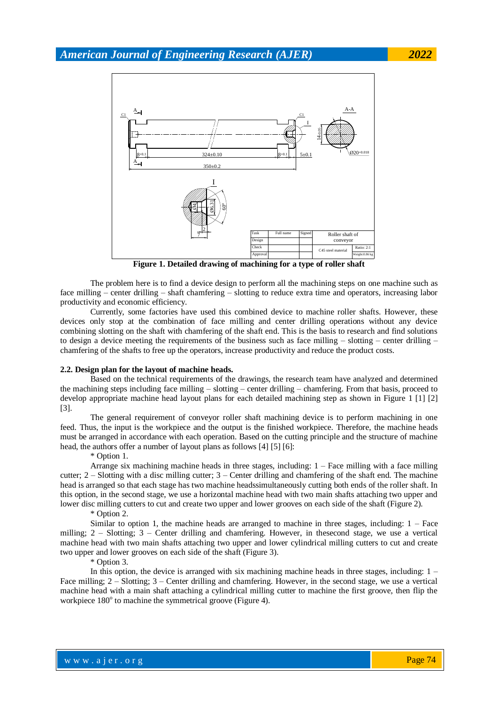

**Figure 1. Detailed drawing of machining for a type of roller shaft**

The problem here is to find a device design to perform all the machining steps on one machine such as face milling – center drilling – shaft chamfering – slotting to reduce extra time and operators, increasing labor productivity and economic efficiency.

Currently, some factories have used this combined device to machine roller shafts. However, these devices only stop at the combination of face milling and center drilling operations without any device combining slotting on the shaft with chamfering of the shaft end. This is the basis to research and find solutions to design a device meeting the requirements of the business such as face milling – slotting – center drilling – chamfering of the shafts to free up the operators, increase productivity and reduce the product costs.

#### **2.2. Design plan for the layout of machine heads.**

Based on the technical requirements of the drawings, the research team have analyzed and determined the machining steps including face milling – slotting – center drilling – chamfering. From that basis, proceed to develop appropriate machine head layout plans for each detailed machining step as shown in Figure 1 [1] [2] [3].

The general requirement of conveyor roller shaft machining device is to perform machining in one feed. Thus, the input is the workpiece and the output is the finished workpiece. Therefore, the machine heads must be arranged in accordance with each operation. Based on the cutting principle and the structure of machine head, the authors offer a number of layout plans as follows [4] [5] [6]:

\* Option 1.

Arrange six machining machine heads in three stages, including:  $1 -$  Face milling with a face milling cutter; 2 – Slotting with a disc milling cutter; 3 – Center drilling and chamfering of the shaft end. The machine head is arranged so that each stage has two machine headssimultaneously cutting both ends of the roller shaft. In this option, in the second stage, we use a horizontal machine head with two main shafts attaching two upper and lower disc milling cutters to cut and create two upper and lower grooves on each side of the shaft (Figure 2).

\* Option 2.

Similar to option 1, the machine heads are arranged to machine in three stages, including:  $1 -$  Face milling; 2 – Slotting; 3 – Center drilling and chamfering. However, in thesecond stage, we use a vertical machine head with two main shafts attaching two upper and lower cylindrical milling cutters to cut and create two upper and lower grooves on each side of the shaft (Figure 3).

\* Option 3.

In this option, the device is arranged with six machining machine heads in three stages, including:  $1 -$ Face milling; 2 – Slotting; 3 – Center drilling and chamfering. However, in the second stage, we use a vertical machine head with a main shaft attaching a cylindrical milling cutter to machine the first groove, then flip the workpiece 180° to machine the symmetrical groove (Figure 4).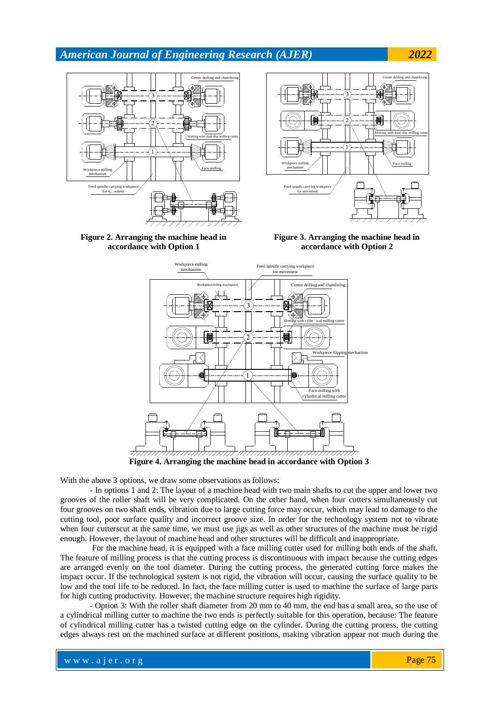

**Figure 2. Arranging the machine head in accordance with Option 1**



**Figure 3. Arranging the machine head in accordance with Option 2**



With the above 3 options, we draw some observations as follows:

- In options 1 and 2: The layout of a machine head with two main shafts to cut the upper and lower two grooves of the roller shaft will be very complicated. On the other hand, when four cutters simultaneously cut four grooves on two shaft ends, vibration due to large cutting force may occur, which may lead to damage to the cutting tool, poor surface quality and incorrect groove size. In order for the technology system not to vibrate when four cutterscut at the same time, we must use jigs as well as other structures of the machine must be rigid enough. However, the layout of machine head and other structures will be difficult and inappropriate.

For the machine head, it is equipped with a face milling cutter used for milling both ends of the shaft. The feature of milling process is that the cutting process is discontinuous with impact because the cutting edges are arranged evenly on the tool diameter. During the cutting process, the generated cutting force makes the impact occur. If the technological system is not rigid, the vibration will occur, causing the surface quality to be low and the tool life to be reduced. In fact, the face milling cutter is used to machine the surface of large parts for high cutting productivity. However, the machine structure requires high rigidity.

- Option 3: With the roller shaft diameter from 20 mm to 40 mm, the end has a small area, so the use of a cylindrical milling cutter to machine the two ends is perfectly suitable for this operation, because: The feature of cylindrical milling cutter has a twisted cutting edge on the cylinder. During the cutting process, the cutting edges always rest on the machined surface at different positions, making vibration appear not much during the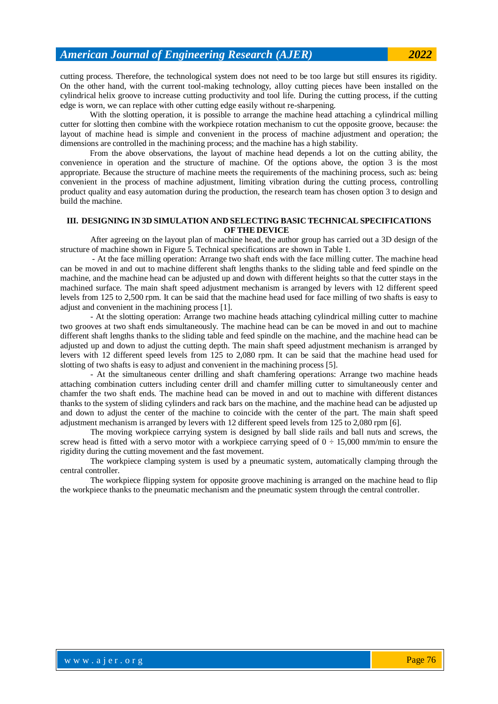cutting process. Therefore, the technological system does not need to be too large but still ensures its rigidity. On the other hand, with the current tool-making technology, alloy cutting pieces have been installed on the cylindrical helix groove to increase cutting productivity and tool life. During the cutting process, if the cutting edge is worn, we can replace with other cutting edge easily without re-sharpening.

With the slotting operation, it is possible to arrange the machine head attaching a cylindrical milling cutter for slotting then combine with the workpiece rotation mechanism to cut the opposite groove, because: the layout of machine head is simple and convenient in the process of machine adjustment and operation; the dimensions are controlled in the machining process; and the machine has a high stability.

From the above observations, the layout of machine head depends a lot on the cutting ability, the convenience in operation and the structure of machine. Of the options above, the option 3 is the most appropriate. Because the structure of machine meets the requirements of the machining process, such as: being convenient in the process of machine adjustment, limiting vibration during the cutting process, controlling product quality and easy automation during the production, the research team has chosen option 3 to design and build the machine.

#### **III. DESIGNING IN 3D SIMULATION AND SELECTING BASIC TECHNICAL SPECIFICATIONS OF THE DEVICE**

After agreeing on the layout plan of machine head, the author group has carried out a 3D design of the structure of machine shown in Figure 5. Technical specifications are shown in Table 1.

- At the face milling operation: Arrange two shaft ends with the face milling cutter. The machine head can be moved in and out to machine different shaft lengths thanks to the sliding table and feed spindle on the machine, and the machine head can be adjusted up and down with different heights so that the cutter stays in the machined surface. The main shaft speed adjustment mechanism is arranged by levers with 12 different speed levels from 125 to 2,500 rpm. It can be said that the machine head used for face milling of two shafts is easy to adjust and convenient in the machining process [1].

- At the slotting operation: Arrange two machine heads attaching cylindrical milling cutter to machine two grooves at two shaft ends simultaneously. The machine head can be can be moved in and out to machine different shaft lengths thanks to the sliding table and feed spindle on the machine, and the machine head can be adjusted up and down to adjust the cutting depth. The main shaft speed adjustment mechanism is arranged by levers with 12 different speed levels from 125 to 2,080 rpm. It can be said that the machine head used for slotting of two shafts is easy to adjust and convenient in the machining process [5].

- At the simultaneous center drilling and shaft chamfering operations: Arrange two machine heads attaching combination cutters including center drill and chamfer milling cutter to simultaneously center and chamfer the two shaft ends. The machine head can be moved in and out to machine with different distances thanks to the system of sliding cylinders and rack bars on the machine, and the machine head can be adjusted up and down to adjust the center of the machine to coincide with the center of the part. The main shaft speed adjustment mechanism is arranged by levers with 12 different speed levels from 125 to 2,080 rpm [6].

The moving workpiece carrying system is designed by ball slide rails and ball nuts and screws, the screw head is fitted with a servo motor with a workpiece carrying speed of  $0 \div 15{,}000$  mm/min to ensure the rigidity during the cutting movement and the fast movement.

The workpiece clamping system is used by a pneumatic system, automatically clamping through the central controller.

The workpiece flipping system for opposite groove machining is arranged on the machine head to flip the workpiece thanks to the pneumatic mechanism and the pneumatic system through the central controller.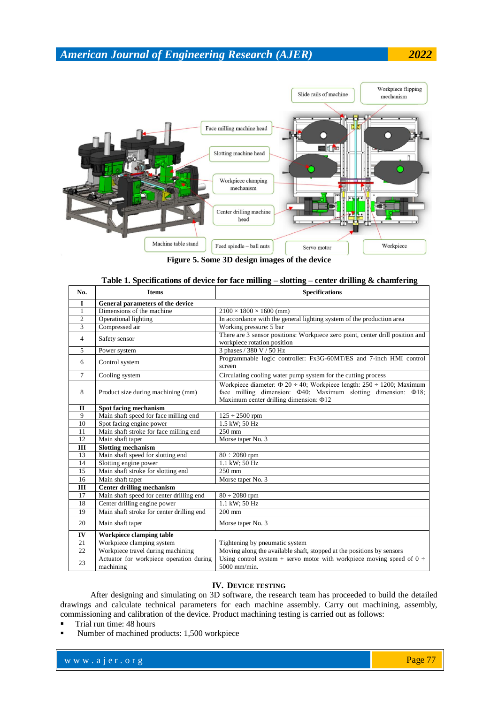## Workpiece flipping Slide rails of machine mechanism Face milling machine head r ei fe Slotting machine head Workpiece clamping mechanism Center drilling machine head Machine table stand  $\operatorname{\mathsf{Feed}}$  spindle -- ball nuts Workpiece Servo motor

**Figure 5. Some 3D design images of the device**

| No.          | <b>Items</b>                                         | <b>DAO COALLY</b><br><b>Specifications</b>                                                                                                                                                       |  |  |  |  |
|--------------|------------------------------------------------------|--------------------------------------------------------------------------------------------------------------------------------------------------------------------------------------------------|--|--|--|--|
| 1            | General parameters of the device                     |                                                                                                                                                                                                  |  |  |  |  |
| 1            | Dimensions of the machine                            | $2100 \times 1800 \times 1600$ (mm)                                                                                                                                                              |  |  |  |  |
| 2            | Operational lighting                                 | In accordance with the general lighting system of the production area                                                                                                                            |  |  |  |  |
| 3            | Compressed air                                       | Working pressure: 5 bar                                                                                                                                                                          |  |  |  |  |
| 4            | Safety sensor                                        | There are 3 sensor positions: Workpiece zero point, center drill position and<br>workpiece rotation position                                                                                     |  |  |  |  |
| 5            | Power system                                         | 3 phases / 380 V / 50 Hz                                                                                                                                                                         |  |  |  |  |
| 6            | Control system                                       | Programmable logic controller: Fx3G-60MT/ES and 7-inch HMI control<br>screen                                                                                                                     |  |  |  |  |
| 7            | Cooling system                                       | Circulating cooling water pump system for the cutting process                                                                                                                                    |  |  |  |  |
| 8            | Product size during machining (mm)                   | Workpiece diameter: $\Phi$ 20 ÷ 40; Workpiece length: 250 ÷ 1200; Maximum<br>face milling dimension: $\Phi$ 40; Maximum slotting dimension: $\Phi$ 18;<br>Maximum center drilling dimension: Φ12 |  |  |  |  |
| $\mathbf{I}$ | Spot facing mechanism                                |                                                                                                                                                                                                  |  |  |  |  |
| 9            | Main shaft speed for face milling end                | $125 \div 2500$ rpm                                                                                                                                                                              |  |  |  |  |
| 10           | Spot facing engine power                             | 1.5 kW; 50 Hz                                                                                                                                                                                    |  |  |  |  |
| 11           | Main shaft stroke for face milling end               | $250 \text{ mm}$                                                                                                                                                                                 |  |  |  |  |
| 12           | Main shaft taper                                     | Morse taper No. 3                                                                                                                                                                                |  |  |  |  |
| III          | <b>Slotting mechanism</b>                            |                                                                                                                                                                                                  |  |  |  |  |
| 13           | Main shaft speed for slotting end                    | $80 \div 2080$ rpm                                                                                                                                                                               |  |  |  |  |
| 14           | Slotting engine power                                | 1.1 kW; 50 Hz                                                                                                                                                                                    |  |  |  |  |
| 15           | Main shaft stroke for slotting end                   | $250 \text{ mm}$                                                                                                                                                                                 |  |  |  |  |
| 16           | Main shaft taper                                     | Morse taper No. 3                                                                                                                                                                                |  |  |  |  |
| III          | <b>Center drilling mechanism</b>                     |                                                                                                                                                                                                  |  |  |  |  |
| 17           | Main shaft speed for center drilling end             | $80 \div 2080$ rpm                                                                                                                                                                               |  |  |  |  |
| 18           | Center drilling engine power                         | 1.1 kW; 50 Hz                                                                                                                                                                                    |  |  |  |  |
| 19           | Main shaft stroke for center drilling end            | $200$ mm                                                                                                                                                                                         |  |  |  |  |
| 20           | Main shaft taper                                     | Morse taper No. 3                                                                                                                                                                                |  |  |  |  |
| IV           | Workpiece clamping table                             |                                                                                                                                                                                                  |  |  |  |  |
| 21           | Workpiece clamping system                            | Tightening by pneumatic system                                                                                                                                                                   |  |  |  |  |
| 22           | Workpiece travel during machining                    | Moving along the available shaft, stopped at the positions by sensors                                                                                                                            |  |  |  |  |
| 23           | Actuator for workpiece operation during<br>machining | Using control system + servo motor with workpiece moving speed of $0 \div$<br>5000 mm/min.                                                                                                       |  |  |  |  |

## **Table 1. Specifications of device for face milling – slotting – center drilling & chamfering**

## **IV. DEVICE TESTING**

After designing and simulating on 3D software, the research team has proceeded to build the detailed drawings and calculate technical parameters for each machine assembly. Carry out machining, assembly, commissioning and calibration of the device. Product machining testing is carried out as follows:

- Trial run time: 48 hours
- Number of machined products: 1,500 workpiece

www.ajer.org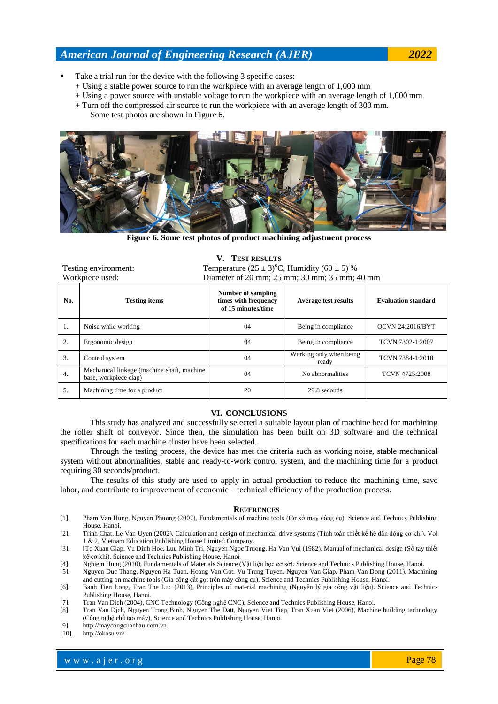- Take a trial run for the device with the following 3 specific cases:
	- + Using a stable power source to run the workpiece with an average length of 1,000 mm
	- + Using a power source with unstable voltage to run the workpiece with an average length of 1,000 mm
	- + Turn off the compressed air source to run the workpiece with an average length of 300 mm.
		- Some test photos are shown in Figure 6.



**Figure 6. Some test photos of product machining adjustment process**

| Testing environment: |                                                                     | Temperature $(25 \pm 3)$ °C, Humidity $(60 \pm 5)$ %             |                                  |                            |  |
|----------------------|---------------------------------------------------------------------|------------------------------------------------------------------|----------------------------------|----------------------------|--|
| Workpiece used:      |                                                                     | Diameter of 20 mm; 25 mm; 30 mm; 35 mm; 40 mm                    |                                  |                            |  |
| No.                  | <b>Testing items</b>                                                | Number of sampling<br>times with frequency<br>of 15 minutes/time | Average test results             | <b>Evaluation standard</b> |  |
| 1.                   | Noise while working                                                 | 04                                                               | Being in compliance              | <b>OCVN 24:2016/BYT</b>    |  |
| 2.                   | Ergonomic design                                                    | 04                                                               | Being in compliance              | TCVN 7302-1:2007           |  |
| 3.                   | Control system                                                      | 04                                                               | Working only when being<br>ready | TCVN 7384-1:2010           |  |
| $\overline{4}$ .     | Mechanical linkage (machine shaft, machine<br>base, workpiece clap) | 04                                                               | No abnormalities                 | TCVN 4725:2008             |  |
| 5.                   | Machining time for a product                                        | 20                                                               | 29.8 seconds                     |                            |  |

# **V. TEST RESULTS**

#### **VI. CONCLUSIONS**

This study has analyzed and successfully selected a suitable layout plan of machine head for machining the roller shaft of conveyor. Since then, the simulation has been built on 3D software and the technical specifications for each machine cluster have been selected.

Through the testing process, the device has met the criteria such as working noise, stable mechanical system without abnormalities, stable and ready-to-work control system, and the machining time for a product requiring 30 seconds/product.

The results of this study are used to apply in actual production to reduce the machining time, save labor, and contribute to improvement of economic – technical efficiency of the production process.

#### **REFERENCES**

- [1]. Pham Van Hung, Nguyen Phuong (2007), Fundamentals of machine tools (Cơ sở máy công cụ). Science and Technics Publishing House, Hanoi.
- [2]. Trinh Chat, Le Van Uyen (2002), Calculation and design of mechanical drive systems (Tính toán thiết kế hệ dẫn động cơ khí). Vol 1 & 2, Vietnam Education Publishing House Limited Company.
- [3]. [To Xuan Giap, Vu Dinh Hoe, Luu Minh Tri, Nguyen Ngoc Truong, Ha Van Vui (1982), Manual of mechanical design (Sổ tay thiết kế cơ khí). Science and Technics Publishing House, Hanoi.
- [4]. Nghiem Hung (2010), Fundamentals of Materials Science (Vật liệu học cơ sở). Science and Technics Publishing House, Hanoi.
- [5]. Nguyen Duc Thang, Nguyen Ha Tuan, Hoang Van Got, Vu Trung Tuyen, Nguyen Van Giap, Pham Van Dong (2011), Machining and cutting on machine tools (Gia công cắt gọt trên máy công cụ). Science and Technics Publishing House, Hanoi.
- [6]. Banh Tien Long, Tran The Luc (2013), Principles of material machining (Nguyên lý gia công vật liệu). Science and Technics Publishing House, Hanoi.
- [7]. Tran Van Dich (2004), CNC Technology (Công nghệ CNC), Science and Technics Publishing House, Hanoi.
- [8]. Tran Van Dịch, Nguyen Trong Binh, Nguyen The Datt, Nguyen Viet Tiep, Tran Xuan Viet (2006), Machine building technology (Công nghệ chế tạo máy), Science and Technics Publishing House, Hanoi.
- [9]. [http://maycongcuachau.com.vn.](http://maycongcuachau.com.vn/)

[10]. <http://okasu.vn/>